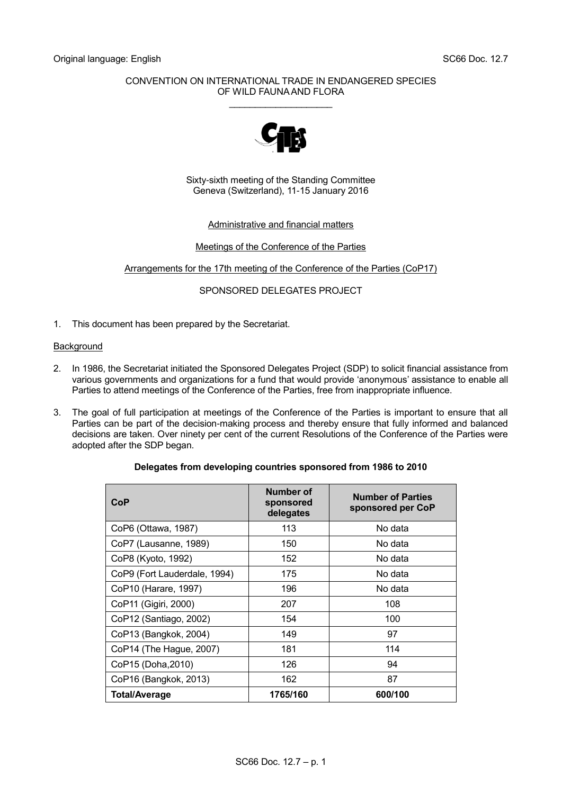## CONVENTION ON INTERNATIONAL TRADE IN ENDANGERED SPECIES OF WILD FAUNA AND FLORA \_\_\_\_\_\_\_\_\_\_\_\_\_\_\_\_\_\_\_\_



Sixty-sixth meeting of the Standing Committee Geneva (Switzerland), 11-15 January 2016

## Administrative and financial matters

## Meetings of the Conference of the Parties

## Arrangements for the 17th meeting of the Conference of the Parties (CoP17)

# SPONSORED DELEGATES PROJECT

1. This document has been prepared by the Secretariat.

### **Background**

- 2. In 1986, the Secretariat initiated the Sponsored Delegates Project (SDP) to solicit financial assistance from various governments and organizations for a fund that would provide 'anonymous' assistance to enable all Parties to attend meetings of the Conference of the Parties, free from inappropriate influence.
- 3. The goal of full participation at meetings of the Conference of the Parties is important to ensure that all Parties can be part of the decision-making process and thereby ensure that fully informed and balanced decisions are taken. Over ninety per cent of the current Resolutions of the Conference of the Parties were adopted after the SDP began.

### **Delegates from developing countries sponsored from 1986 to 2010**

| CoP                          | Number of<br>sponsored<br>delegates | <b>Number of Parties</b><br>sponsored per CoP |
|------------------------------|-------------------------------------|-----------------------------------------------|
| CoP6 (Ottawa, 1987)          | 113                                 | No data                                       |
| CoP7 (Lausanne, 1989)        | 150                                 | No data                                       |
| CoP8 (Kyoto, 1992)           | 152                                 | No data                                       |
| CoP9 (Fort Lauderdale, 1994) | 175                                 | No data                                       |
| CoP10 (Harare, 1997)         | 196                                 | No data                                       |
| CoP11 (Gigiri, 2000)         | 207                                 | 108                                           |
| CoP12 (Santiago, 2002)       | 154                                 | 100                                           |
| CoP13 (Bangkok, 2004)        | 149                                 | 97                                            |
| CoP14 (The Hague, 2007)      | 181                                 | 114                                           |
| CoP15 (Doha, 2010)           | 126                                 | 94                                            |
| CoP16 (Bangkok, 2013)        | 162                                 | 87                                            |
| <b>Total/Average</b>         | 1765/160                            | 600/100                                       |